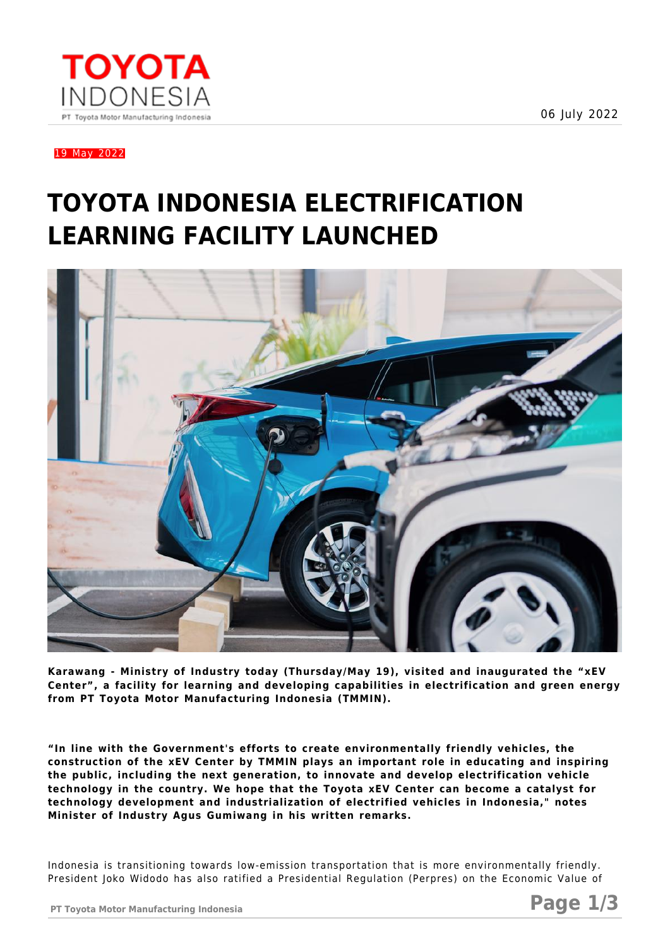06 July 2022



19 May 2022

## **TOYOTA INDONESIA ELECTRIFICATION LEARNING FACILITY LAUNCHED**



**Karawang - Ministry of Industry today (Thursday/May 19), visited and inaugurated the "xEV Center", a facility for learning and developing capabilities in electrification and green energy from PT Toyota Motor Manufacturing Indonesia (TMMIN).** 

**"In line with the Government's efforts to create environmentally friendly vehicles, the construction of the xEV Center by TMMIN plays an important role in educating and inspiring the public, including the next generation, to innovate and develop electrification vehicle technology in the country. We hope that the Toyota xEV Center can become a catalyst for technology development and industrialization of electrified vehicles in Indonesia," notes Minister of Industry Agus Gumiwang in his written remarks.**

Indonesia is transitioning towards low-emission transportation that is more environmentally friendly. President Joko Widodo has also ratified a Presidential Regulation (Perpres) on the Economic Value of

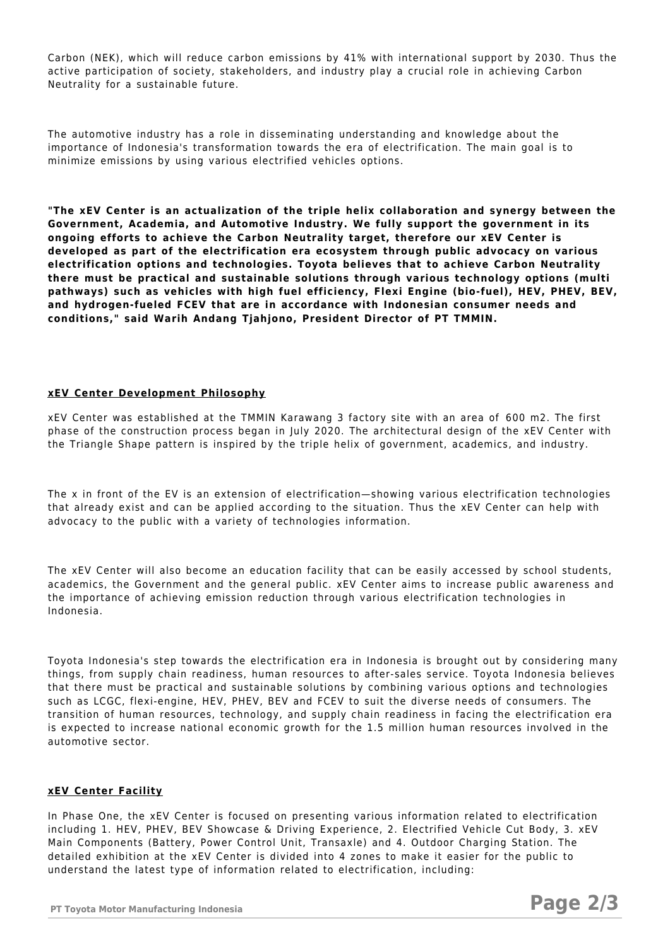Carbon (NEK), which will reduce carbon emissions by 41% with international support by 2030. Thus the active participation of society, stakeholders, and industry play a crucial role in achieving Carbon Neutrality for a sustainable future.

The automotive industry has a role in disseminating understanding and knowledge about the importance of Indonesia's transformation towards the era of electrification. The main goal is to minimize emissions by using various electrified vehicles options.

**"The xEV Center is an actualization of the triple helix collaboration and synergy between the Government, Academia, and Automotive Industry. We fully support the government in its ongoing efforts to achieve the Carbon Neutrality target, therefore our xEV Center is developed as part of the electrification era ecosystem through public advocacy on various electrification options and technologies. Toyota believes that to achieve Carbon Neutrality there must be practical and sustainable solutions through various technology options (multi pathways) such as vehicles with high fuel efficiency, Flexi Engine (bio-fuel), HEV, PHEV, BEV, and hydrogen-fueled FCEV that are in accordance with Indonesian consumer needs and conditions," said Warih Andang Tjahjono, President Director of PT TMMIN.**

## **xEV Center Development Philosophy**

xEV Center was established at the TMMIN Karawang 3 factory site with an area of 600 m2. The first phase of the construction process began in July 2020. The architectural design of the xEV Center with the Triangle Shape pattern is inspired by the triple helix of government, academics, and industry.

The x in front of the EV is an extension of electrification—showing various electrification technologies that already exist and can be applied according to the situation. Thus the xEV Center can help with advocacy to the public with a variety of technologies information.

The xEV Center will also become an education facility that can be easily accessed by school students, academics, the Government and the general public. xEV Center aims to increase public awareness and the importance of achieving emission reduction through various electrification technologies in Indonesia.

Toyota Indonesia's step towards the electrification era in Indonesia is brought out by considering many things, from supply chain readiness, human resources to after-sales service. Toyota Indonesia believes that there must be practical and sustainable solutions by combining various options and technologies such as LCGC, flexi-engine, HEV, PHEV, BEV and FCEV to suit the diverse needs of consumers. The transition of human resources, technology, and supply chain readiness in facing the electrification era is expected to increase national economic growth for the 1.5 million human resources involved in the automotive sector.

## **xEV Center Facility**

In Phase One, the xEV Center is focused on presenting various information related to electrification including 1. HEV, PHEV, BEV Showcase & Driving Experience, 2. Electrified Vehicle Cut Body, 3. xEV Main Components (Battery, Power Control Unit, Transaxle) and 4. Outdoor Charging Station. The detailed exhibition at the xEV Center is divided into 4 zones to make it easier for the public to understand the latest type of information related to electrification, including: